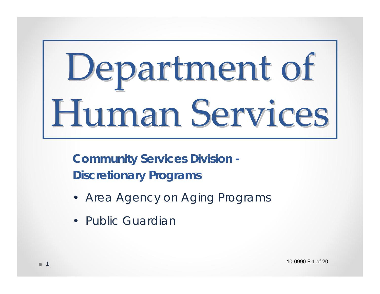# Department of Human Services

**Community Services Division - Discretionary Programs**

- Area Agency on Aging Programs
- Public Guardian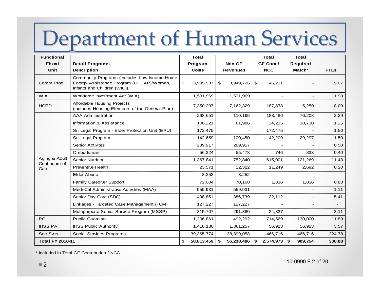#### Department of Human Services

| <b>Functional</b>                     |                                                                                                                          | <b>Total</b>                           |                  | <b>Total</b>    | <b>Total</b>    |                          |
|---------------------------------------|--------------------------------------------------------------------------------------------------------------------------|----------------------------------------|------------------|-----------------|-----------------|--------------------------|
| <b>Fiscal</b>                         | <b>Detail Programs</b>                                                                                                   | Program                                | Non-GF           | GF Cont /       | <b>Required</b> |                          |
| <b>Unit</b>                           | <b>Description</b>                                                                                                       | <b>Costs</b>                           | <b>Revenues</b>  | <b>NCC</b>      | Match*          | <b>FTEs</b>              |
| Comm Prog                             | Community Programs (includes Low Income Home<br>Energy Assistance Program (LIHEAP)/Women,<br>Infants and Children (WIC)) | $\boldsymbol{\mathsf{S}}$<br>3,995,937 | \$<br>3,949,726  | \$<br>46,211    |                 | 19.07                    |
| <b>WIA</b>                            | Workforce Investment Act (WIA)                                                                                           | 1,531,969                              | 1,531,969        |                 |                 | 11.98                    |
| <b>HCED</b>                           | <b>Affordable Housing Projects</b><br>(includes Housing Elements of the General Plan)                                    | 7,350,207                              | 7,162,329        | 187,878         | 5,250           | 8.09                     |
| Aging & Adult<br>Continuum of<br>Care | <b>AAA Administration</b>                                                                                                | 298,651                                | 110,165          | 188,486         | 76,208          | 2.29                     |
|                                       | Information & Assistance                                                                                                 | 106,221                                | 81,986           | 24,235          | 18,730          | 1.25                     |
|                                       | Sr. Legal Program - Elder Protection Unit (EPU)                                                                          | 172,475                                |                  | 172,475         |                 | 1.50                     |
|                                       | Sr. Legal Program                                                                                                        | 142,659                                | 100,450          | 42,209          | 29,297          | 1.50                     |
|                                       | <b>Senior Activites</b>                                                                                                  | 289,917                                | 289,917          |                 |                 | 0.50                     |
|                                       | Ombudsman                                                                                                                | 56,224                                 | 55,478           | 746             | 833             | 0.40                     |
|                                       | <b>Senior Nutrition</b>                                                                                                  | 1,367,841                              | 752,840          | 615,001         | 121,269         | 11.43                    |
|                                       | <b>Preventive Health</b>                                                                                                 | 23,571                                 | 12,322           | 11,249          | 2,692           | 0.20                     |
|                                       | <b>Elder Abuse</b>                                                                                                       | 3,252                                  | 3,252            |                 |                 | $\overline{\phantom{0}}$ |
|                                       | Family Caregiver Support                                                                                                 | 72,004                                 | 70,168           | 1,836           | 1,836           | 0.80                     |
|                                       | Medi-Cal Administrative Activities (MAA)                                                                                 | 559,931                                | 559,931          |                 |                 | 1.11                     |
|                                       | Senior Day Care (SDC)                                                                                                    | 408,851                                | 386,739          | 22,112          |                 | 5.41                     |
|                                       | Linkages - Targeted Case Management (TCM)                                                                                | 127,227                                | 127,227          |                 |                 |                          |
|                                       | Multipurpose Senior Service Program (MSSP)                                                                               | 315,707                                | 291,380          | 24,327          |                 | 3.11                     |
| PG                                    | Public Guardian                                                                                                          | 1,206,861                              | 492,292          | 714,569         | 130,000         | 11.89                    |
| <b>IHSS PA</b>                        | <b>IHSS Public Authority</b>                                                                                             | 1,418,180                              | 1,361,257        | 56,923          | 56,923          | 3.57                     |
| Soc Sycs                              | Social Services Programs                                                                                                 | 39, 365, 774                           | 38,899,058       | 466,716         | 466,716         | 224.78                   |
| <b>Total FY 2010-11</b>               |                                                                                                                          | \$<br>58,813,459                       | 56,238,486<br>\$ | 2,574,973<br>\$ | \$<br>909,754   | 308.88                   |

\* Included in Total GF Contribution / NCC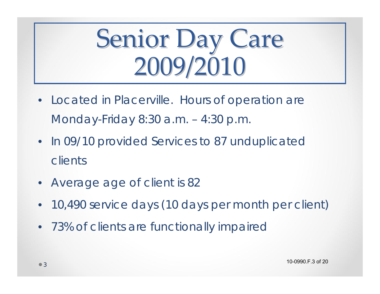### Senior Day Care 2009/2010

- Located in Placerville. Hours of operation are Monday-Friday 8:30 a.m. – 4:30 p.m.
- In 09/10 provided Services to 87 unduplicated clients
- Average age of client is 82
- 10,490 service days (10 days per month per client)
- 73% of clients are functionally impaired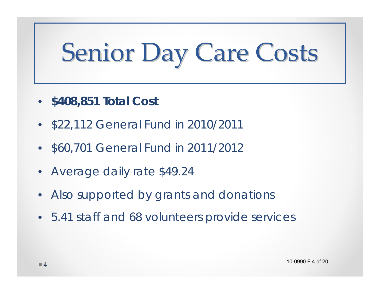# Senior Day Care Costs

- **\$408,851 Total Cost**
- \$22,112 General Fund in 2010/2011
- \$60,701 General Fund in 2011/2012
- Average daily rate \$49.24
- Also supported by grants and donations
- 5.41 staff and 68 volunteers provide services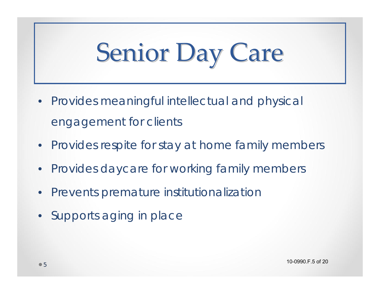# Senior Day Care

- Provides meaningful intellectual and physical engagement for clients
- Provides respite for stay at home family members
- Provides daycare for working family members
- Prevents premature institutionalization
- Supports aging in place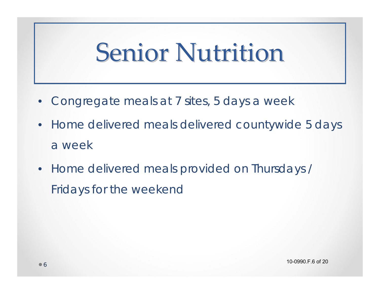#### **Senior Nutrition**

- Congregate meals at 7 sites, 5 days a week
- Home delivered meals delivered countywide 5 days a week
- Home delivered meals provided on Thursdays / Fridays for the weekend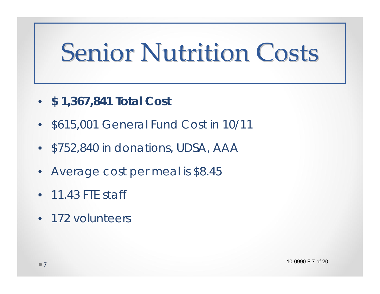#### **Senior Nutrition Costs**

- **\$ 1,367,841 Total Cost**
- \$615,001 General Fund Cost in 10/11
- \$752,840 in donations, UDSA, AAA
- Average cost per meal is \$8.45
- 11.43 FTE staff
- 172 volunteers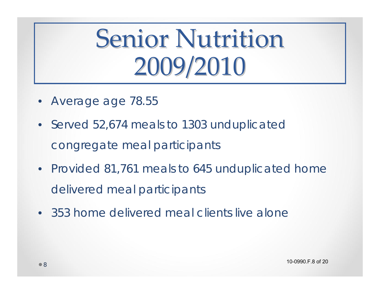### **Senior Nutrition** 2009/2010

- Average age 78.55
- Served 52,674 meals to 1303 unduplicated congregate meal participants
- Provided 81,761 meals to 645 unduplicated home delivered meal participants
- 353 home delivered meal clients live alone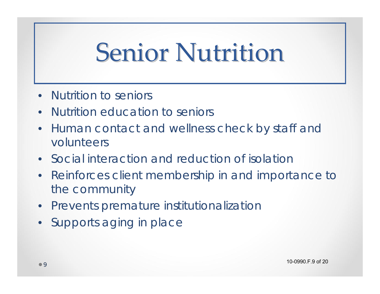### **Senior Nutrition**

- Nutrition to seniors
- Nutrition education to seniors
- Human contact and wellness check by staff and volunteers
- Social interaction and reduction of isolation
- Reinforces client membership in and importance to the community
- Prevents premature institutionalization
- Supports aging in place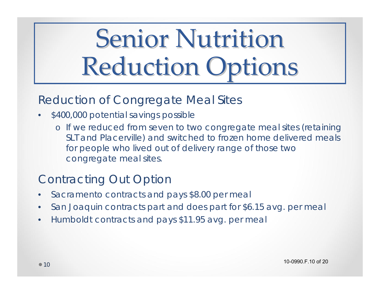## **Senior Nutrition Reduction Options**

#### Reduction of Congregate Meal Sites

- \$400,000 potential savings possible
	- o If we reduced from seven to two congregate meal sites (retaining SLT and Placerville) and switched to frozen home delivered meals for people who lived out of delivery range of those two congregate meal sites.

#### Contracting Out Option

- Sacramento contracts and pays \$8.00 per meal
- San Joaquin contracts part and does part for \$6.15 avg. per meal
- Humboldt contracts and pays \$11.95 avg. per meal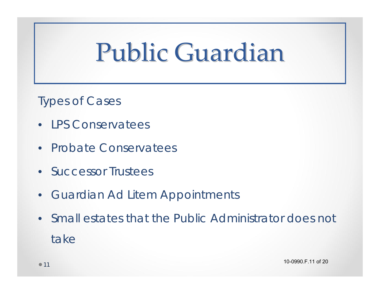### Public Guardian

Types of Cases

- LPS Conservatees
- Probate Conservatees
- Successor Trustees
- Guardian Ad Litem Appointments
- Small estates that the Public Administrator does not take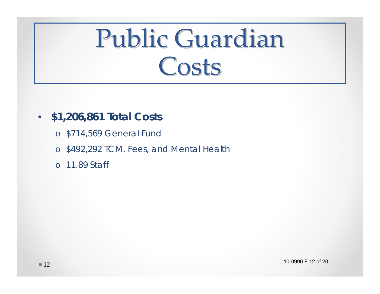#### Public Guardian Costs

- **\$1,206,861 Total Costs**
	- o \$714,569 General Fund
	- <sup>o</sup>\$492,292 TCM, Fees, and Mental Health
	- o 11.89 Staff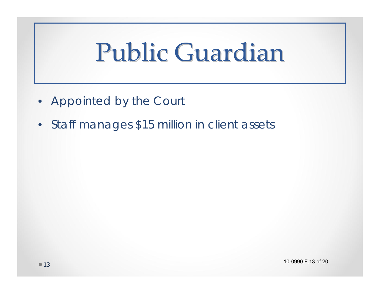### Public Guardian

- Appointed by the Court
- Staff manages \$15 million in client assets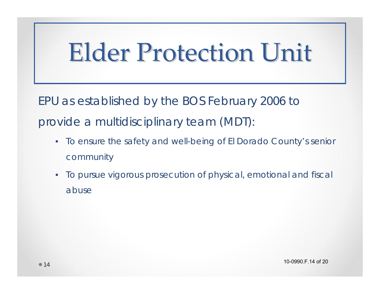#### **Elder Protection Unit**

EPU as established by the BOS February 2006 to provide a multidisciplinary team (MDT):

- To ensure the safety and well-being of El Dorado County's senior community
- To pursue vigorous prosecution of physical, emotional and fiscal abuse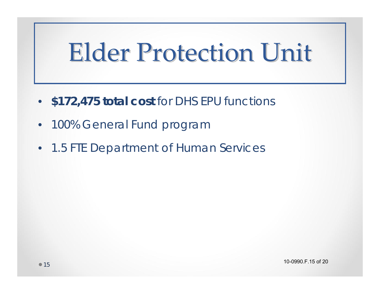#### Elder Protection Unit

- **\$172,475 total cost** for DHS EPU functions
- 100% General Fund program
- 1.5 FTE Department of Human Services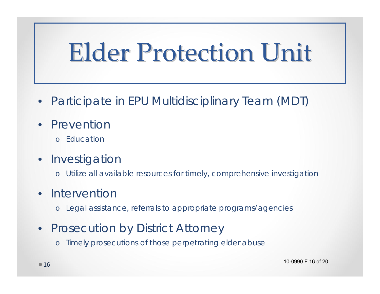### **Elder Protection Unit**

- Participate in EPU Multidisciplinary Team (MDT)
- **Prevention** 
	- o Education
- **Investigation** 
	- <sup>o</sup>Utilize all available resources for timely, comprehensive investigation

#### **Intervention**

<sup>o</sup>Legal assistance, referrals to appropriate programs/agencies

#### • Prosecution by District Attorney

o Timely prosecutions of those perpetrating elder abuse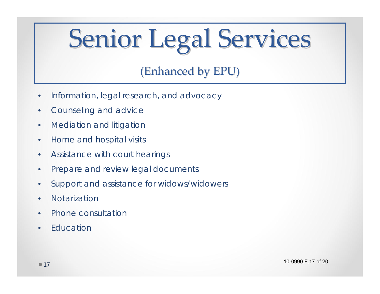# Senior Legal Services

#### (Enhanced by EPU)

- Information, legal research, and advocacy
- Counseling and advice
- Mediation and litigation
- Home and hospital visits
- Assistance with court hearings
- Prepare and review legal documents
- Support and assistance for widows/widowers
- Notarization
- Phone consultation
- Education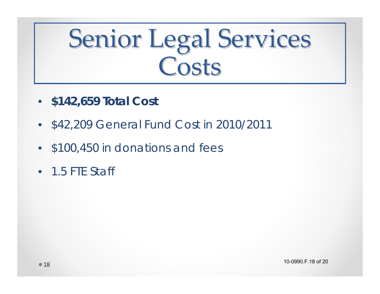### Senior Legal Services **Costs**

- **\$142,659 Total Cost**
- \$42,209 General Fund Cost in 2010/2011
- \$100,450 in donations and fees
- 1.5 FTE Staff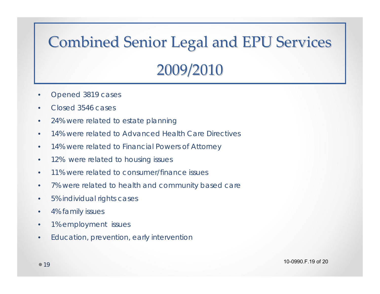#### **Combined Senior Legal and EPU Services** 2009/2010 2009/2010

- Opened 3819 cases
- Closed 3546 cases
- 24% were related to estate planning
- 14% were related to Advanced Health Care Directives
- 14% were related to Financial Powers of Attorney
- 12% were related to housing issues
- 11% were related to consumer/finance issues
- 7% were related to health and community based care
- 5% individual rights cases
- 4% family issues
- 1% employment issues
- Education, prevention, early intervention